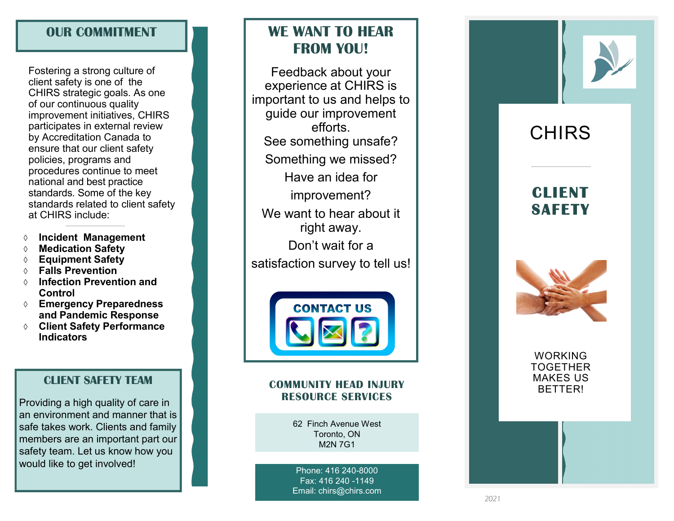# **OUR COMMITMENT**

Fostering a strong culture of client safety is one of the CHIRS strategic goals. As one of our c o n tinuous qu ality improvement initiatives, CHIRS participates in external review by Accreditation Canada to en s u r e t h at our client safety poli cie s, p rograms and p r o c edu res con tinue t o meet n a tional and best practice standards. Some of the key standards related to client safety at CHIRS in clude:

- **Incident Management**
- **Medication Safety**
- **Equipment Safety**
- **Falls Prevention**
- **Infection Prevention and Control**
- **Emergency Preparedness and Pandemic Response**
- **Client Safety Performance Indicators**

## **CLIENT SAFETY TEAM**

Providing a high quality of care in an environment and manner that is safe takes work. Clients and family members are an important part our safety team. Let us know how you would like to get involved!

# **WE WANT TO HEAR FROM YOU!**

Feedback about your e xperien c important to us and helps to guide our improvement efforts. See something unsafe? S omething we mis sed? Have an idea for improvement ? We want to hear a bout it right away. Don't wait for a satisfaction survey to tell us!



### **COMMUNITY HEAD INJURY DESCRIPTION OF A READ INJURY RESOURCE SERVICES**

62 Finch Avenue West Toronto, ON M2N 7G1

Phone: 416 240 -8000 Fax: 416 240 -1149 Email: chirs@chirs.com